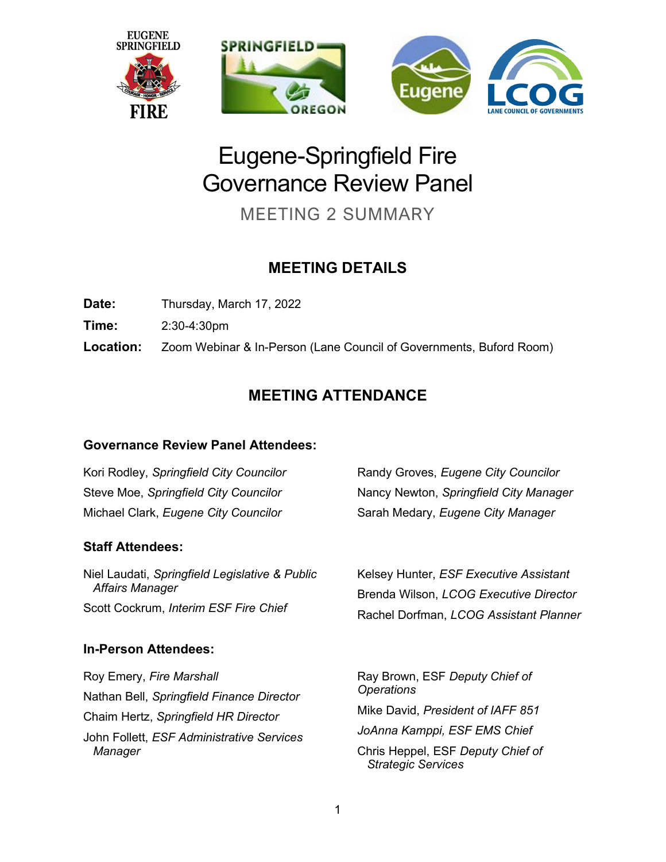

# Eugene-Springfield Fire Governance Review Panel

MEETING 2 SUMMARY

# **MEETING DETAILS**

**Date:** Thursday, March 17, 2022

**Time:** 2:30-4:30pm

**Location:** Zoom Webinar & In-Person (Lane Council of Governments, Buford Room)

# **MEETING ATTENDANCE**

### **Governance Review Panel Attendees:**

Kori Rodley, *Springfield City Councilor* Steve Moe, *Springfield City Councilor* Michael Clark, *Eugene City Councilor* Randy Groves, *Eugene City Councilor* Nancy Newton, *Springfield City Manager* Sarah Medary, *Eugene City Manager*

### **Staff Attendees:**

Niel Laudati, *Springfield Legislative & Public Affairs Manager* Scott Cockrum, *Interim ESF Fire Chief*

# **In-Person Attendees:**

Roy Emery, *Fire Marshall* Nathan Bell, *Springfield Finance Director*  Chaim Hertz, *Springfield HR Director*  John Follett, *ESF Administrative Services Manager*

Kelsey Hunter, *ESF Executive Assistant* Brenda Wilson, *LCOG Executive Director* Rachel Dorfman, *LCOG Assistant Planner*

Ray Brown, ESF *Deputy Chief of Operations* Mike David, *President of IAFF 851 JoAnna Kamppi, ESF EMS Chief* Chris Heppel, ESF *Deputy Chief of Strategic Services*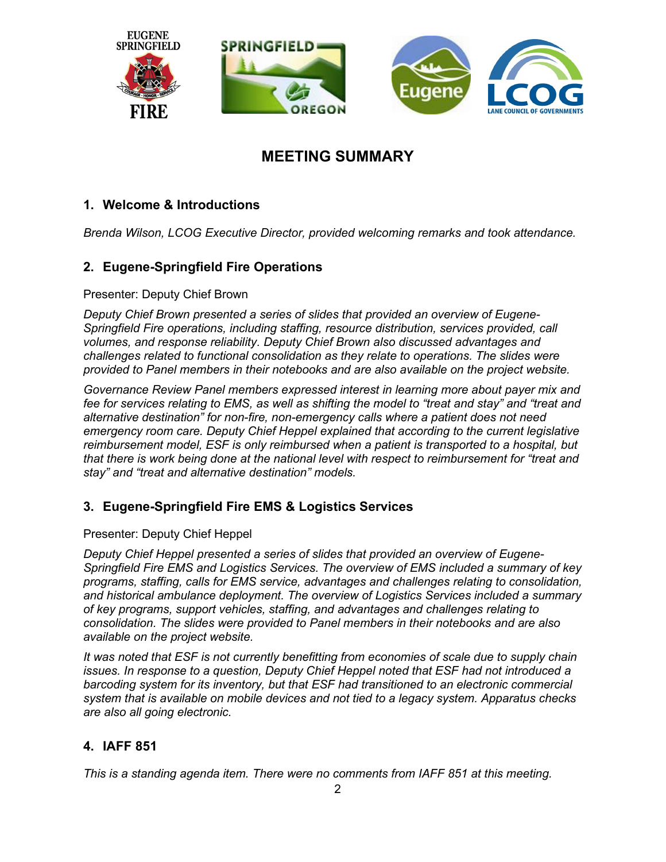

# **MEETING SUMMARY**

#### **1. Welcome & Introductions**

*Brenda Wilson, LCOG Executive Director, provided welcoming remarks and took attendance.*

#### **2. Eugene-Springfield Fire Operations**

#### Presenter: Deputy Chief Brown

*Deputy Chief Brown presented a series of slides that provided an overview of Eugene-Springfield Fire operations, including staffing, resource distribution, services provided, call volumes, and response reliability. Deputy Chief Brown also discussed advantages and challenges related to functional consolidation as they relate to operations. The slides were provided to Panel members in their notebooks and are also available on the project website.*

*Governance Review Panel members expressed interest in learning more about payer mix and fee for services relating to EMS, as well as shifting the model to "treat and stay" and "treat and alternative destination" for non-fire, non-emergency calls where a patient does not need emergency room care. Deputy Chief Heppel explained that according to the current legislative reimbursement model, ESF is only reimbursed when a patient is transported to a hospital, but that there is work being done at the national level with respect to reimbursement for "treat and stay" and "treat and alternative destination" models.*

#### **3. Eugene-Springfield Fire EMS & Logistics Services**

#### Presenter: Deputy Chief Heppel

*Deputy Chief Heppel presented a series of slides that provided an overview of Eugene-Springfield Fire EMS and Logistics Services. The overview of EMS included a summary of key programs, staffing, calls for EMS service, advantages and challenges relating to consolidation, and historical ambulance deployment. The overview of Logistics Services included a summary of key programs, support vehicles, staffing, and advantages and challenges relating to consolidation. The slides were provided to Panel members in their notebooks and are also available on the project website.*

*It was noted that ESF is not currently benefitting from economies of scale due to supply chain issues. In response to a question, Deputy Chief Heppel noted that ESF had not introduced a barcoding system for its inventory, but that ESF had transitioned to an electronic commercial system that is available on mobile devices and not tied to a legacy system. Apparatus checks are also all going electronic.* 

#### **4. IAFF 851**

*This is a standing agenda item. There were no comments from IAFF 851 at this meeting.*